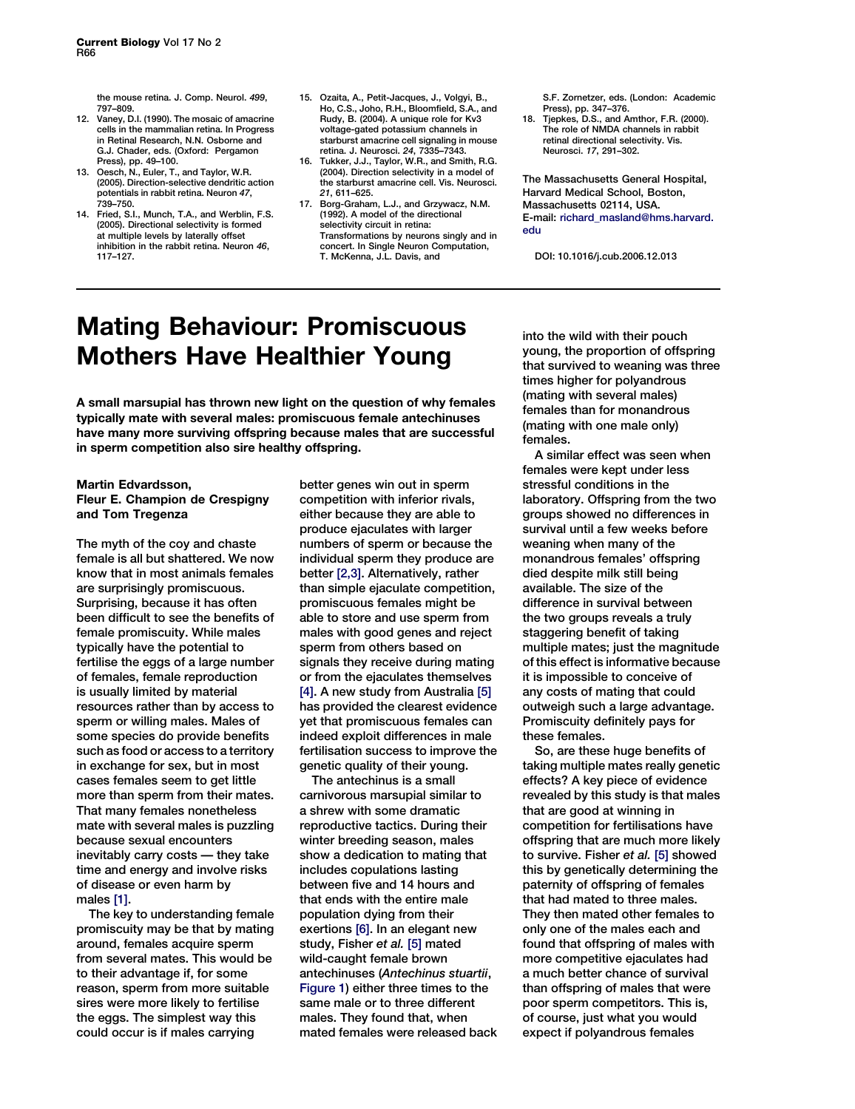the mouse retina. J. Comp. Neurol. 499, 797–809.

- 12. Vaney, D.I. (1990). The mosaic of amacrine cells in the mammalian retina. In Progress in Retinal Research, N.N. Osborne and G.J. Chader, eds. (Oxford: Pergamon Press), pp. 49–100.
- 13. Oesch, N., Euler, T., and Taylor, W.R. (2005). Direction-selective dendritic action potentials in rabbit retina. Neuron 47, 739–750.
- 14. Fried, S.I., Munch, T.A., and Werblin, F.S. (2005). Directional selectivity is formed at multiple levels by laterally offset inhibition in the rabbit retina. Neuron 46, 117–127.
- 15. Ozaita, A., Petit-Jacques, J., Volgyi, B., Ho, C.S., Joho, R.H., Bloomfield, S.A., and Rudy, B. (2004). A unique role for Kv3 voltage-gated potassium channels in starburst amacrine cell signaling in mouse retina. J. Neurosci. 24, 7335–7343.
- 16. Tukker, J.J., Taylor, W.R., and Smith, R.G. (2004). Direction selectivity in a model of the starburst amacrine cell. Vis. Neurosci. 21, 611–625.
- 17. Borg-Graham, L.J., and Grzywacz, N.M. (1992). A model of the directional selectivity circuit in retina: Transformations by neurons singly and in concert. In Single Neuron Computation, T. McKenna, J.L. Davis, and

S.F. Zornetzer, eds. (London: Academic Press), pp. 347–376.

18. Tjepkes, D.S., and Amthor, F.R. (2000). The role of NMDA channels in rabbit retinal directional selectivity. Vis. Neurosci. 17, 291–302.

The Massachusetts General Hospital, Harvard Medical School, Boston, Massachusetts 02114, USA. E-mail: richard\_masland@hms.harvard. edu

DOI: 10.1016/j.cub.2006.12.013

## Mating Behaviour: Promiscuous Mothers Have Healthier Young

A small marsupial has thrown new light on the question of why females typically mate with several males: promiscuous female antechinuses have many more surviving offspring because males that are successful in sperm competition also sire healthy offspring.

## Martin Edvardsson, Fleur E. Champion de Crespigny and Tom Tregenza

The myth of the coy and chaste female is all but shattered. We now know that in most animals females are surprisingly promiscuous. Surprising, because it has often been difficult to see the benefits of female promiscuity. While males typically have the potential to fertilise the eggs of a large number of females, female reproduction is usually limited by material resources rather than by access to sperm or willing males. Males of some species do provide benefits such as food or access to a territory in exchange for sex, but in most cases females seem to get little more than sperm from their mates. That many females nonetheless mate with several males is puzzling because sexual encounters inevitably carry costs — they take time and energy and involve risks of disease or even harm by males [\[1\]](#page-1-0).

The key to understanding female promiscuity may be that by mating around, females acquire sperm from several mates. This would be to their advantage if, for some reason, sperm from more suitable sires were more likely to fertilise the eggs. The simplest way this could occur is if males carrying

better genes win out in sperm competition with inferior rivals, either because they are able to produce ejaculates with larger numbers of sperm or because the individual sperm they produce are better [\[2,3\].](#page-1-0) Alternatively, rather than simple ejaculate competition, promiscuous females might be able to store and use sperm from males with good genes and reject sperm from others based on signals they receive during mating or from the ejaculates themselves [\[4\]](#page-1-0). A new study from Australia [\[5\]](#page-1-0) has provided the clearest evidence yet that promiscuous females can indeed exploit differences in male fertilisation success to improve the genetic quality of their young.

The antechinus is a small carnivorous marsupial similar to a shrew with some dramatic reproductive tactics. During their winter breeding season, males show a dedication to mating that includes copulations lasting between five and 14 hours and that ends with the entire male population dying from their exertions [\[6\].](#page-1-0) In an elegant new study, Fisher et al. [\[5\]](#page-1-0) mated wild-caught female brown antechinuses (Antechinus stuartii, [Figure 1](#page-1-0)) either three times to the same male or to three different males. They found that, when mated females were released back

into the wild with their pouch young, the proportion of offspring that survived to weaning was three times higher for polyandrous (mating with several males) females than for monandrous (mating with one male only) females.

A similar effect was seen when females were kept under less stressful conditions in the laboratory. Offspring from the two groups showed no differences in survival until a few weeks before weaning when many of the monandrous females' offspring died despite milk still being available. The size of the difference in survival between the two groups reveals a truly staggering benefit of taking multiple mates; just the magnitude of this effect is informative because it is impossible to conceive of any costs of mating that could outweigh such a large advantage. Promiscuity definitely pays for these females.

So, are these huge benefits of taking multiple mates really genetic effects? A key piece of evidence revealed by this study is that males that are good at winning in competition for fertilisations have offspring that are much more likely to survive. Fisher et al. [\[5\]](#page-1-0) showed this by genetically determining the paternity of offspring of females that had mated to three males. They then mated other females to only one of the males each and found that offspring of males with more competitive ejaculates had a much better chance of survival than offspring of males that were poor sperm competitors. This is, of course, just what you would expect if polyandrous females